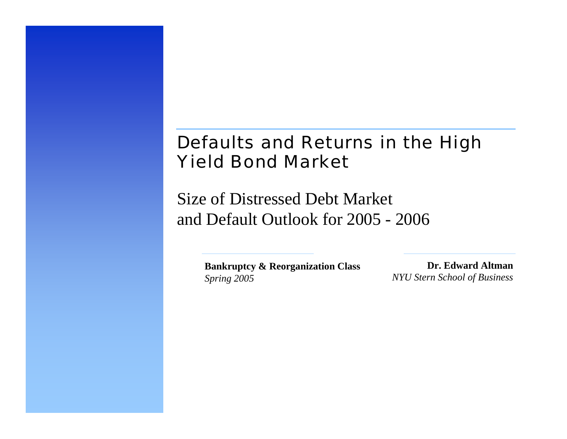# Defaults and Returns in the High Yield Bond Market

Size of Distressed Debt Market and Default Outlook for 2005 - 2006

> **Bankruptcy & Reorganization Class** *Spring 2005*

**Dr. Edward Altman***NYU Stern School of Business*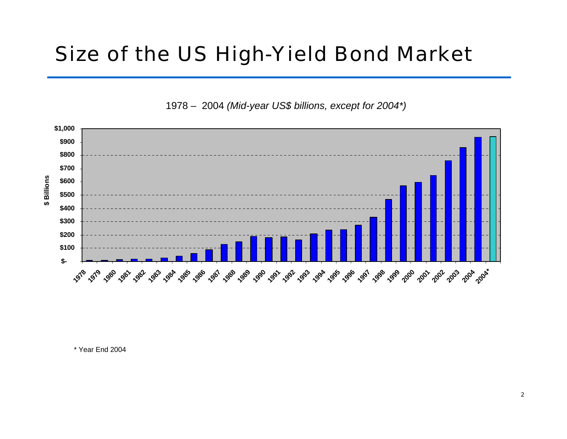# Size of the US High-Yield Bond Market

1978 - 2004 (Mid-year US\$ billions, except for 2004\*)



\* Year End 2004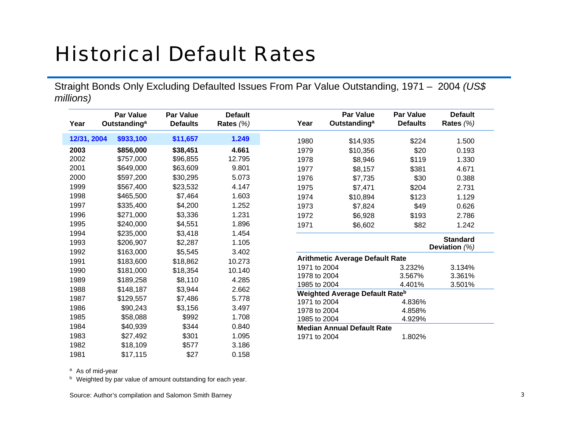# Historical Default Rates

Straight Bonds Only Excluding Defaulted Issues From Par Value Outstanding, 1971 – 2004 *(US\$ millions)*

| Year        | <b>Par Value</b><br>Outstanding <sup>a</sup> | <b>Par Value</b><br><b>Defaults</b> | <b>Default</b><br>Rates $(%)$ | Year         | <b>Par Value</b><br>Outstanding <sup>a</sup> | <b>Par Value</b><br><b>Defaults</b> | <b>Default</b><br>Rates $(%)$ |
|-------------|----------------------------------------------|-------------------------------------|-------------------------------|--------------|----------------------------------------------|-------------------------------------|-------------------------------|
| 12/31, 2004 | \$933,100                                    | \$11,657                            | 1.249                         | 1980         | \$14,935                                     | \$224                               | 1.500                         |
| 2003        | \$856,000                                    | \$38,451                            | 4.661                         | 1979         | \$10,356                                     | \$20                                | 0.193                         |
| 2002        | \$757,000                                    | \$96,855                            | 12.795                        | 1978         | \$8,946                                      | \$119                               | 1.330                         |
| 2001        | \$649,000                                    | \$63,609                            | 9.801                         | 1977         | \$8,157                                      | \$381                               | 4.671                         |
| 2000        | \$597,200                                    | \$30,295                            | 5.073                         | 1976         | \$7,735                                      | \$30                                | 0.388                         |
| 1999        | \$567,400                                    | \$23,532                            | 4.147                         | 1975         | \$7,471                                      | \$204                               | 2.731                         |
| 1998        | \$465,500                                    | \$7,464                             | 1.603                         | 1974         | \$10,894                                     | \$123                               | 1.129                         |
| 1997        | \$335,400                                    | \$4,200                             | 1.252                         | 1973         | \$7,824                                      | \$49                                | 0.626                         |
| 1996        | \$271,000                                    | \$3,336                             | 1.231                         | 1972         | \$6,928                                      | \$193                               | 2.786                         |
| 1995        | \$240,000                                    | \$4,551                             | 1.896                         | 1971         | \$6,602                                      | \$82                                | 1.242                         |
| 1994        | \$235,000                                    | \$3,418                             | 1.454                         |              |                                              |                                     |                               |
| 1993        | \$206,907                                    | \$2,287                             | 1.105                         |              |                                              |                                     | <b>Standard</b>               |
| 1992        | \$163,000                                    | \$5,545                             | 3.402                         |              |                                              |                                     | Deviation $(%)$               |
| 1991        | \$183,600                                    | \$18,862                            | 10.273                        |              | <b>Arithmetic Average Default Rate</b>       |                                     |                               |
| 1990        | \$181,000                                    | \$18,354                            | 10.140                        | 1971 to 2004 |                                              | 3.232%                              | 3.134%                        |
| 1989        | \$189,258                                    | \$8,110                             | 4.285                         | 1978 to 2004 |                                              | 3.567%                              | 3.361%                        |
| 1988        | \$148,187                                    | \$3,944                             | 2.662                         | 1985 to 2004 |                                              | 4.401%                              | 3.501%                        |
| 1987        | \$129,557                                    | \$7,486                             | 5.778                         | 1971 to 2004 | <b>Weighted Average Default Rateb</b>        | 4.836%                              |                               |
| 1986        | \$90,243                                     | \$3,156                             | 3.497                         | 1978 to 2004 |                                              | 4.858%                              |                               |
| 1985        | \$58,088                                     | \$992                               | 1.708                         | 1985 to 2004 |                                              | 4.929%                              |                               |
| 1984        | \$40,939                                     | \$344                               | 0.840                         |              | <b>Median Annual Default Rate</b>            |                                     |                               |
| 1983        | \$27,492                                     | \$301                               | 1.095                         | 1971 to 2004 |                                              | 1.802%                              |                               |
| 1982        | \$18,109                                     | \$577                               | 3.186                         |              |                                              |                                     |                               |

0.158

<sup>a</sup> As of mid-year

1981

<sup>b</sup> Weighted by par value of amount outstanding for each year.

\$17,115 \$27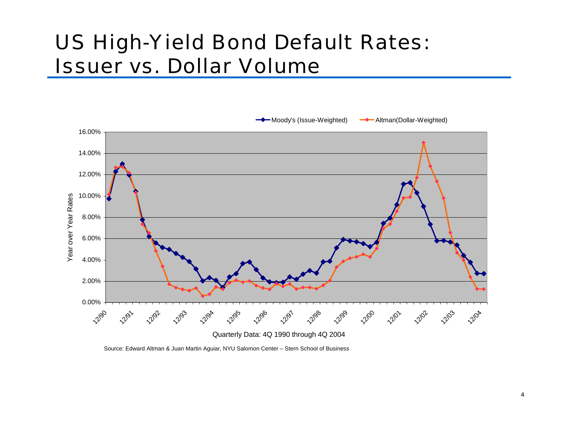# US High-Yield Bond Default Rates: *Issuer vs. Dollar Volume*



Source: Edward Altman & Juan Martin Aguiar, NYU Salomon Center – Stern School of Business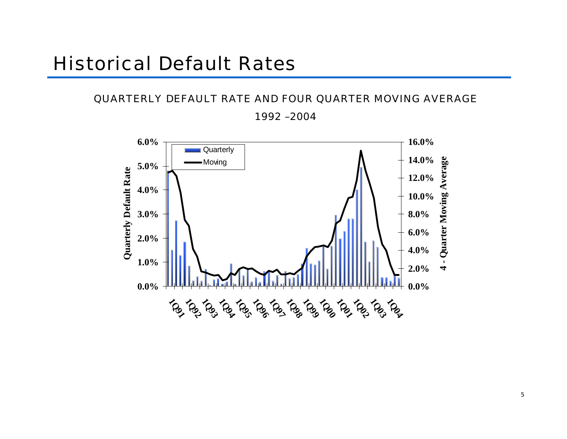#### QUARTERLY DEFAULT RATE AND FOUR QUARTER MOVING AVERAGE

1992 –2004

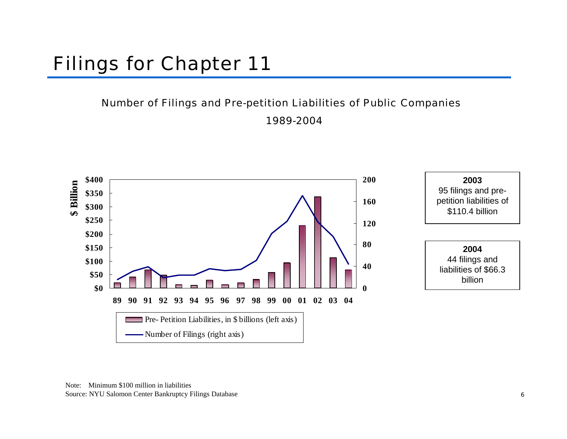# Filings for Chapter 11

#### Number of Filings and Pre-petition Liabilities of Public Companies

1989-2004

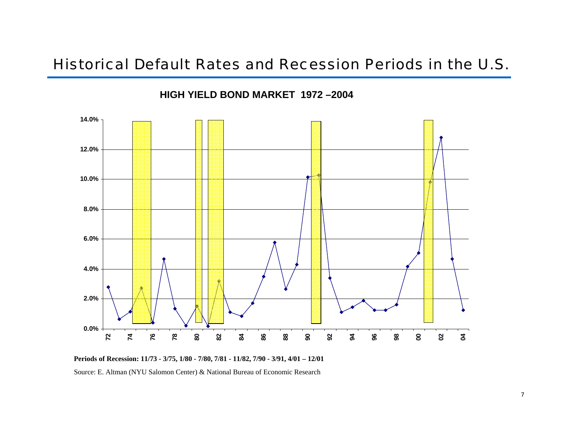#### Historical Default Rates and Recession Periods in the U.S.

**HIGH YIELD BOND MARKET 1972 –2004**



**Periods of Recession: 11/73 - 3/75, 1/80 - 7/80, 7/81 - 11/82, 7/90 - 3/91, 4/01 – 12/01**

Source: E. Altman (NYU Salomon Center) & National Bureau of Economic Research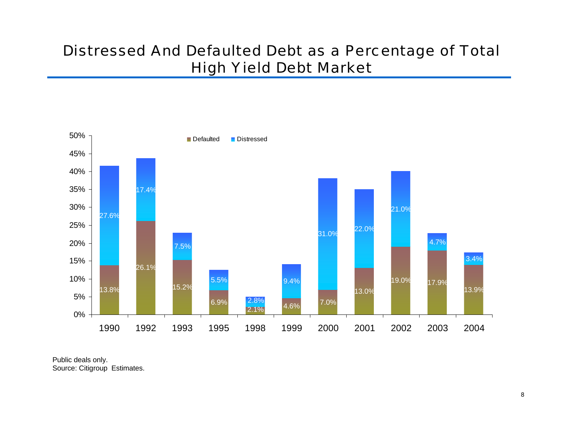### Distressed And Defaulted Debt as a Percentage of Total High Yield Debt Market



Public deals only. Source: Citigroup Estimates.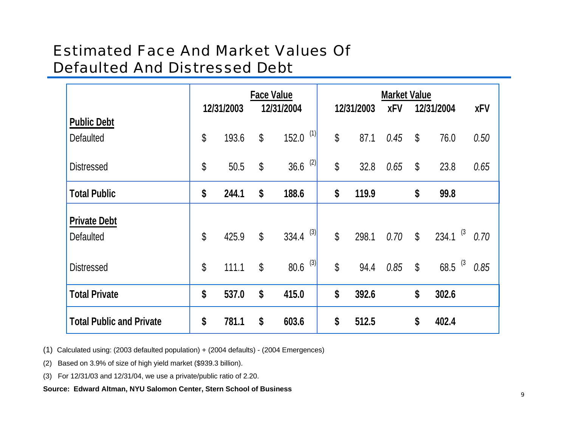### **Estimated Face And Market Values Of Defaulted And Distressed Debt**

|                                         |              | 12/31/2003 | <b>Face Value</b><br>12/31/2004 |                       | 12/31/2003    |       | <b>XFV</b> | <b>Market Value</b><br>12/31/2004 |                        | <b>XFV</b> |
|-----------------------------------------|--------------|------------|---------------------------------|-----------------------|---------------|-------|------------|-----------------------------------|------------------------|------------|
| <b>Public Debt</b><br><b>Defaulted</b>  | \$           | 193.6      | $\boldsymbol{\mathsf{S}}$       | (1)<br>152.0          | \$            | 87.1  | 0.45       | $\boldsymbol{\mathsf{S}}$         | 76.0                   | 0.50       |
| <b>Distressed</b>                       | \$           | 50.5       | $\mathbb{S}$                    | (2)<br>36.6           | \$            | 32.8  | 0.65       | $\boldsymbol{\mathsf{S}}$         | 23.8                   | 0.65       |
| <b>Total Public</b>                     | \$           | 244.1      | \$                              | 188.6                 | \$            | 119.9 |            | \$                                | 99.8                   |            |
| <b>Private Debt</b><br><b>Defaulted</b> | $\mathbb{S}$ | 425.9      | $\mathbb{S}$                    | 334.4 $^{(3)}$        | \$            | 298.1 | 0.70       | $\mathbb{S}$                      | $234.1$ <sup>(3)</sup> | 0.70       |
| <b>Distressed</b>                       | \$           | 111.1      | $\mathbb{S}$                    | $80.6$ <sup>(3)</sup> | $\mathcal{S}$ | 94.4  | 0.85       | $\boldsymbol{\mathsf{S}}$         | 68.5 $(3)$             | 0.85       |
| <b>Total Private</b>                    | \$           | 537.0      | \$                              | 415.0                 | \$            | 392.6 |            | \$                                | 302.6                  |            |
| <b>Total Public and Private</b>         | \$           | 781.1      | \$                              | 603.6                 | \$            | 512.5 |            | \$                                | 402.4                  |            |

(1) Calculated using: (2003 defaulted population) + (2004 defaults) - (2004 Emergences)

(2) Based on 3.9% of size of high yield market (\$939.3 billion).

(3) For 12/31/03 and 12/31/04, we use a private/public ratio of 2.20.

Source: Edward Altman, NYU Salomon Center, Stern School of Business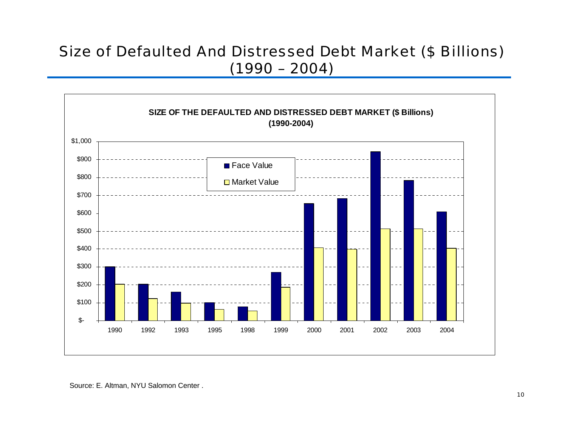### **Size of Defaulted And Distressed Debt Market (\$ Billions)**  $(1990 - 2004)$

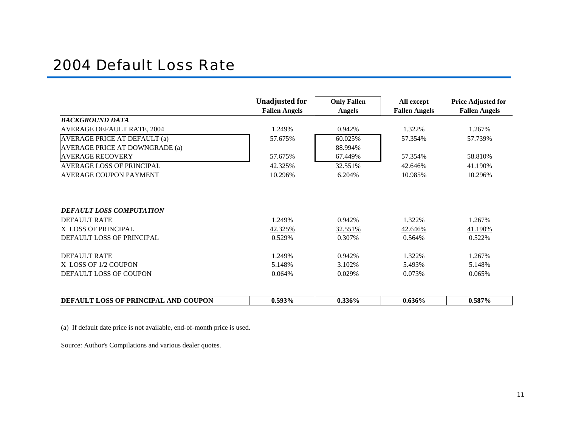#### 2004 Default Loss Rate

|                                      | <b>Unadjusted for</b> | <b>Only Fallen</b> | All except           | <b>Price Adjusted for</b> |
|--------------------------------------|-----------------------|--------------------|----------------------|---------------------------|
|                                      | <b>Fallen Angels</b>  | <b>Angels</b>      | <b>Fallen Angels</b> | <b>Fallen Angels</b>      |
| <b>BACKGROUND DATA</b>               |                       |                    |                      |                           |
| <b>AVERAGE DEFAULT RATE, 2004</b>    | 1.249%                | 0.942%             | 1.322%               | 1.267%                    |
| <b>AVERAGE PRICE AT DEFAULT (a)</b>  | 57.675%               | 60.025%            | 57.354%              | 57.739%                   |
| AVERAGE PRICE AT DOWNGRADE (a)       |                       | 88.994%            |                      |                           |
| <b>AVERAGE RECOVERY</b>              | 57.675%               | 67.449%            | 57.354%              | 58.810\%                  |
| <b>AVERAGE LOSS OF PRINCIPAL</b>     | 42.325%               | 32.551%            | 42.646%              | 41.190%                   |
| <b>AVERAGE COUPON PAYMENT</b>        | 10.296%               | 6.204%             | 10.985%              | 10.296%                   |
| <b>DEFAULT LOSS COMPUTATION</b>      |                       |                    |                      |                           |
| <b>DEFAULT RATE</b>                  | 1.249%                | 0.942%             | 1.322%               | 1.267%                    |
| X LOSS OF PRINCIPAL                  | 42.325%               | 32.551%            | 42.646%              | 41.190%                   |
| DEFAULT LOSS OF PRINCIPAL            | 0.529%                | 0.307%             | 0.564%               | 0.522%                    |
|                                      |                       |                    |                      |                           |
| DEFAULT RATE                         | 1.249%                | 0.942%             | 1.322%               | 1.267%                    |
| X LOSS OF 1/2 COUPON                 | 5.148%                | 3.102%             | 5.493%               | 5.148%                    |
| DEFAULT LOSS OF COUPON               | 0.064%                | 0.029%             | 0.073%               | 0.065%                    |
|                                      |                       |                    |                      |                           |
| DEFAULT LOSS OF PRINCIPAL AND COUPON | 0.593%                | $0.336\%$          | 0.636%               | 0.587%                    |

(a) If default date price is not available, end-of-month price is used.

Source: Author's Compilations and vario us dealer quotes.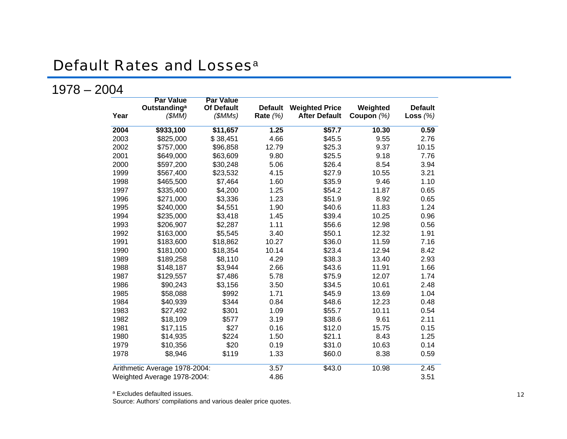### Default Rates and Losses<sup>a</sup>

#### 1978 – 2004

| Year | <b>Par Value</b><br><b>Outstanding<sup>a</sup></b><br>(SMM) | <b>Par Value</b><br><b>Of Default</b><br>(SMMs) | <b>Default</b><br>Rate $(%)$ | <b>Weighted Price</b><br><b>After Default</b> | Weighted<br>Coupon (%) | <b>Default</b><br>Loss $(%)$ |
|------|-------------------------------------------------------------|-------------------------------------------------|------------------------------|-----------------------------------------------|------------------------|------------------------------|
| 2004 | \$933,100                                                   | \$11,657                                        | 1.25                         | \$57.7                                        | 10.30                  | 0.59                         |
| 2003 | \$825,000                                                   | \$38,451                                        | 4.66                         | \$45.5                                        | 9.55                   | 2.76                         |
| 2002 | \$757,000                                                   | \$96,858                                        | 12.79                        | \$25.3                                        | 9.37                   | 10.15                        |
| 2001 | \$649,000                                                   | \$63,609                                        | 9.80                         | \$25.5                                        | 9.18                   | 7.76                         |
| 2000 | \$597,200                                                   | \$30,248                                        | 5.06                         | \$26.4                                        | 8.54                   | 3.94                         |
| 1999 | \$567,400                                                   | \$23,532                                        | 4.15                         | \$27.9                                        | 10.55                  | 3.21                         |
| 1998 | \$465,500                                                   | \$7,464                                         | 1.60                         | \$35.9                                        | 9.46                   | 1.10                         |
| 1997 | \$335,400                                                   | \$4,200                                         | 1.25                         | \$54.2                                        | 11.87                  | 0.65                         |
| 1996 | \$271,000                                                   | \$3,336                                         | 1.23                         | \$51.9                                        | 8.92                   | 0.65                         |
| 1995 | \$240,000                                                   | \$4,551                                         | 1.90                         | \$40.6                                        | 11.83                  | 1.24                         |
| 1994 | \$235,000                                                   | \$3,418                                         | 1.45                         | \$39.4                                        | 10.25                  | 0.96                         |
| 1993 | \$206,907                                                   | \$2,287                                         | 1.11                         | \$56.6                                        | 12.98                  | 0.56                         |
| 1992 | \$163,000                                                   | \$5,545                                         | 3.40                         | \$50.1                                        | 12.32                  | 1.91                         |
| 1991 | \$183,600                                                   | \$18,862                                        | 10.27                        | \$36.0                                        | 11.59                  | 7.16                         |
| 1990 | \$181,000                                                   | \$18,354                                        | 10.14                        | \$23.4                                        | 12.94                  | 8.42                         |
| 1989 | \$189,258                                                   | \$8,110                                         | 4.29                         | \$38.3                                        | 13.40                  | 2.93                         |
| 1988 | \$148,187                                                   | \$3,944                                         | 2.66                         | \$43.6                                        | 11.91                  | 1.66                         |
| 1987 | \$129,557                                                   | \$7,486                                         | 5.78                         | \$75.9                                        | 12.07                  | 1.74                         |
| 1986 | \$90,243                                                    | \$3,156                                         | 3.50                         | \$34.5                                        | 10.61                  | 2.48                         |
| 1985 | \$58,088                                                    | \$992                                           | 1.71                         | \$45.9                                        | 13.69                  | 1.04                         |
| 1984 | \$40,939                                                    | \$344                                           | 0.84                         | \$48.6                                        | 12.23                  | 0.48                         |
| 1983 | \$27,492                                                    | \$301                                           | 1.09                         | \$55.7                                        | 10.11                  | 0.54                         |
| 1982 | \$18,109                                                    | \$577                                           | 3.19                         | \$38.6                                        | 9.61                   | 2.11                         |
| 1981 | \$17,115                                                    | \$27                                            | 0.16                         | \$12.0                                        | 15.75                  | 0.15                         |
| 1980 | \$14,935                                                    | \$224                                           | 1.50                         | \$21.1                                        | 8.43                   | 1.25                         |
| 1979 | \$10,356                                                    | \$20                                            | 0.19                         | \$31.0                                        | 10.63                  | 0.14                         |
| 1978 | \$8,946                                                     | \$119                                           | 1.33                         | \$60.0                                        | 8.38                   | 0.59                         |
|      | Arithmetic Average 1978-2004:                               |                                                 | 3.57                         | \$43.0                                        | 10.98                  | 2.45                         |
|      | Weighted Average 1978-2004:                                 |                                                 | 4.86                         |                                               |                        | 3.51                         |

Source: Authors' compilations and various dealer price quotes.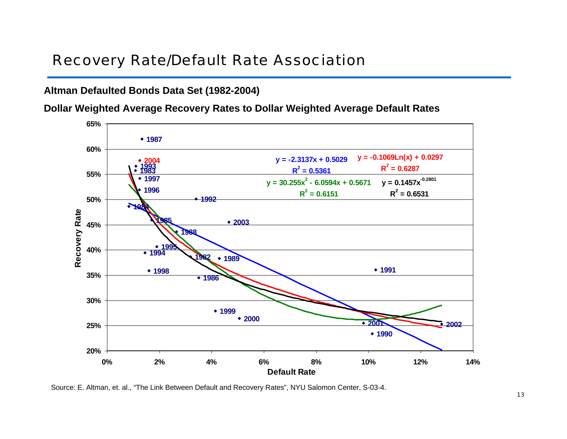### Recovery Rate/Default Rate Association

#### **Altman Defaulted Bonds Data Set (1982-2004)**

**Dollar Weighted Average Recovery Rates to Dollar Weighted Average Default Rates**



Source: E. Altman, et. al., "The Link Between Default and Recovery Rates", NYU Salomon Center, S-03-4.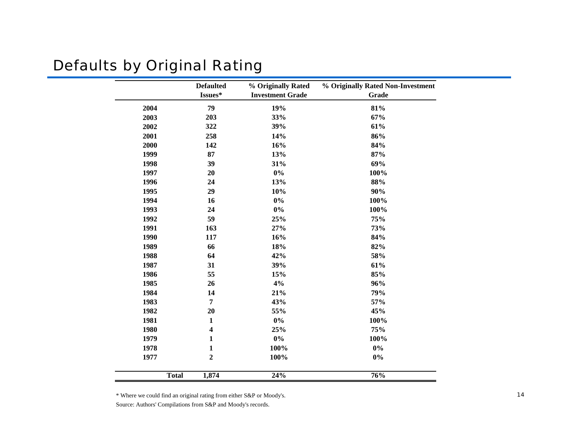### Defaults by Original Rating

|      | <b>Defaulted</b><br>Issues* | % Originally Rated<br><b>Investment Grade</b> | % Originally Rated Non-Investment<br><b>Grade</b> |
|------|-----------------------------|-----------------------------------------------|---------------------------------------------------|
| 2004 | 79                          | 19%                                           | 81%                                               |
| 2003 | 203                         | 33%                                           | 67%                                               |
| 2002 | 322                         | 39%                                           | 61%                                               |
| 2001 | 258                         | 14%                                           | 86%                                               |
| 2000 | 142                         | 16%                                           | 84%                                               |
| 1999 | 87                          | 13%                                           | 87%                                               |
| 1998 | 39                          | 31%                                           | 69%                                               |
| 1997 | 20                          | $0\%$                                         | 100%                                              |
| 1996 | 24                          | 13%                                           | 88%                                               |
| 1995 | 29                          | 10%                                           | 90%                                               |
| 1994 | 16                          | $0\%$                                         | 100%                                              |
| 1993 | 24                          | $0\%$                                         | 100%                                              |
| 1992 | 59                          | 25%                                           | 75%                                               |
| 1991 | 163                         | 27%                                           | 73%                                               |
| 1990 | 117                         | 16%                                           | 84%                                               |
| 1989 | 66                          | 18%                                           | 82%                                               |
| 1988 | 64                          | 42%                                           | 58%                                               |
| 1987 | 31                          | 39%                                           | 61%                                               |
| 1986 | 55                          | 15%                                           | 85%                                               |
| 1985 | 26                          | 4%                                            | 96%                                               |
| 1984 | 14                          | 21%                                           | 79%                                               |
| 1983 | $\overline{7}$              | 43%                                           | 57%                                               |
| 1982 | 20                          | 55%                                           | 45%                                               |
| 1981 | $\mathbf{1}$                | $0\%$                                         | 100%                                              |
| 1980 | 4                           | 25%                                           | 75%                                               |
| 1979 | 1                           | $0\%$                                         | 100%                                              |
| 1978 | $\mathbf{1}$                | 100%                                          | $0\%$                                             |
| 1977 | $\mathbf 2$                 | 100%                                          | $0\%$                                             |
|      | <b>Total</b><br>1,874       | 24%                                           | $\frac{1}{76}\%$                                  |

\* Where we could find an original rating from either S &P or Moody's.

Source: Authors' Compilations from S &P and Moody's records.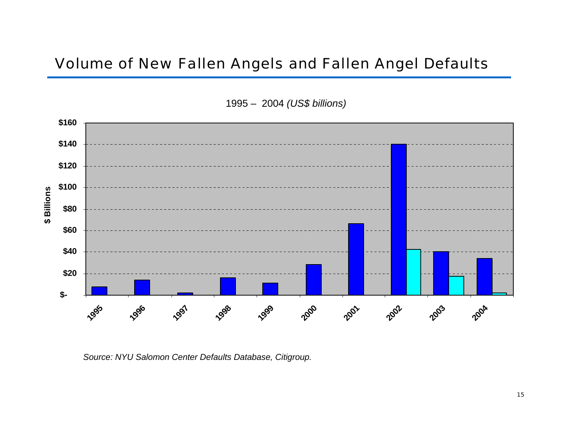#### Volume of New Fallen Angels and Fallen Angel Defaults





*Source: NYU Salom on Center Defaults D ata b ase, Citigroup.*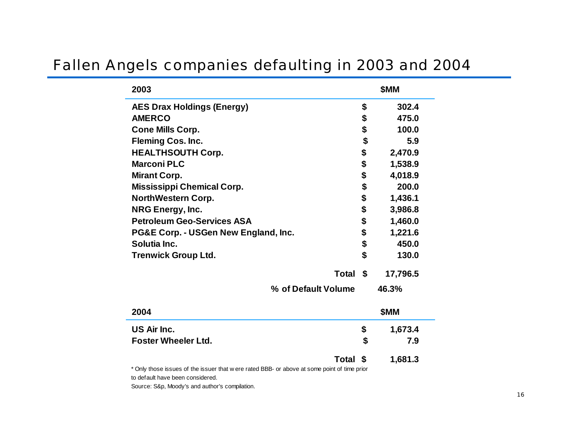### Fallen Angels companies defaulting in 2003 and 2004

| 2003                                                                                         | \$MM          |
|----------------------------------------------------------------------------------------------|---------------|
| <b>AES Drax Holdings (Energy)</b>                                                            | \$<br>302.4   |
| <b>AMERCO</b>                                                                                | \$<br>475.0   |
| <b>Cone Mills Corp.</b>                                                                      | \$<br>100.0   |
| <b>Fleming Cos. Inc.</b>                                                                     | \$<br>5.9     |
| <b>HEALTHSOUTH Corp.</b>                                                                     | \$<br>2,470.9 |
| <b>Marconi PLC</b>                                                                           | \$<br>1,538.9 |
| <b>Mirant Corp.</b>                                                                          | \$<br>4,018.9 |
| <b>Mississippi Chemical Corp.</b>                                                            | \$<br>200.0   |
| <b>NorthWestern Corp.</b>                                                                    | \$<br>1,436.1 |
| <b>NRG Energy, Inc.</b>                                                                      | \$<br>3,986.8 |
| <b>Petroleum Geo-Services ASA</b>                                                            | \$<br>1,460.0 |
| PG&E Corp. - USGen New England, Inc.                                                         | \$<br>1,221.6 |
| Solutia Inc.                                                                                 | \$<br>450.0   |
| <b>Trenwick Group Ltd.</b>                                                                   | \$<br>130.0   |
| Total \$                                                                                     | 17,796.5      |
| % of Default Volume                                                                          | 46.3%         |
| 2004                                                                                         | \$MM          |
| US Air Inc.                                                                                  | \$<br>1,673.4 |
| <b>Foster Wheeler Ltd.</b>                                                                   | \$<br>7.9     |
| Total \$                                                                                     | 1,681.3       |
| * Only those issues of the issuer that w ere rated BBB- or above at some point of time prior |               |

Univ

to default have been considered.

Source: S&p, Moody's and author's compilation.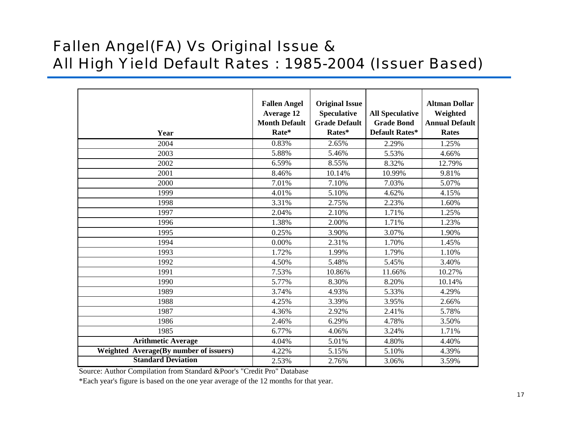### Fallen Angel(FA) Vs Original Issue & All High Yield Default Rates : 1985-2004 (Issuer Based)

| Year                                   | <b>Fallen Angel</b><br><b>Average 12</b><br><b>Month Default</b><br>Rate* | <b>Original Issue</b><br><b>Speculative</b><br><b>Grade Default</b><br>Rates* | <b>All Speculative</b><br><b>Grade Bond</b><br>Default Rates* | <b>Altman Dollar</b><br>Weighted<br><b>Annual Default</b><br><b>Rates</b> |
|----------------------------------------|---------------------------------------------------------------------------|-------------------------------------------------------------------------------|---------------------------------------------------------------|---------------------------------------------------------------------------|
| 2004                                   | 0.83%                                                                     | 2.65%                                                                         | 2.29%                                                         | 1.25%                                                                     |
| 2003                                   | 5.88%                                                                     | 5.46%                                                                         | 5.53%                                                         | 4.66%                                                                     |
| 2002                                   | 6.59%                                                                     | 8.55%                                                                         | 8.32%                                                         | 12.79%                                                                    |
| 2001                                   | 8.46%                                                                     | 10.14%                                                                        | 10.99%                                                        | 9.81%                                                                     |
| 2000                                   | 7.01%                                                                     | 7.10%                                                                         | 7.03%                                                         | 5.07%                                                                     |
| 1999                                   | 4.01%                                                                     | 5.10%                                                                         | 4.62%                                                         | 4.15%                                                                     |
| 1998                                   | 3.31%                                                                     | 2.75%                                                                         | 2.23%                                                         | 1.60%                                                                     |
| 1997                                   | 2.04%                                                                     | 2.10%                                                                         | 1.71%                                                         | 1.25%                                                                     |
| 1996                                   | 1.38%                                                                     | 2.00%                                                                         | 1.71%                                                         | 1.23%                                                                     |
| 1995                                   | 0.25%                                                                     | 3.90%                                                                         | 3.07%                                                         | 1.90%                                                                     |
| 1994                                   | 0.00%                                                                     | 2.31%                                                                         | 1.70%                                                         | 1.45%                                                                     |
| 1993                                   | 1.72%                                                                     | 1.99%                                                                         | 1.79%                                                         | 1.10%                                                                     |
| 1992                                   | 4.50%                                                                     | 5.48%                                                                         | 5.45%                                                         | 3.40%                                                                     |
| 1991                                   | 7.53%                                                                     | 10.86%                                                                        | 11.66%                                                        | 10.27%                                                                    |
| 1990                                   | 5.77%                                                                     | 8.30%                                                                         | 8.20%                                                         | 10.14%                                                                    |
| 1989                                   | 3.74%                                                                     | 4.93%                                                                         | 5.33%                                                         | 4.29%                                                                     |
| 1988                                   | 4.25%                                                                     | 3.39%                                                                         | 3.95%                                                         | 2.66%                                                                     |
| 1987                                   | 4.36%                                                                     | 2.92%                                                                         | 2.41%                                                         | 5.78%                                                                     |
| 1986                                   | 2.46%                                                                     | 6.29%                                                                         | 4.78%                                                         | 3.50%                                                                     |
| 1985                                   | 6.77%                                                                     | 4.06%                                                                         | 3.24%                                                         | 1.71%                                                                     |
| <b>Arithmetic Average</b>              | 4.04%                                                                     | 5.01%                                                                         | 4.80%                                                         | 4.40%                                                                     |
| Weighted Average(By number of issuers) | 4.22%                                                                     | 5.15%                                                                         | 5.10%                                                         | 4.39%                                                                     |
| <b>Standard Deviation</b>              | 2.53%                                                                     | 2.76%                                                                         | 3.06%                                                         | 3.59%                                                                     |

Source: Aut hor C o mpilation from Standard &Poor's "Credit Pro" Database

\*Each year's figure is based o n the o ne year average of the 1 2 m o nths for that year.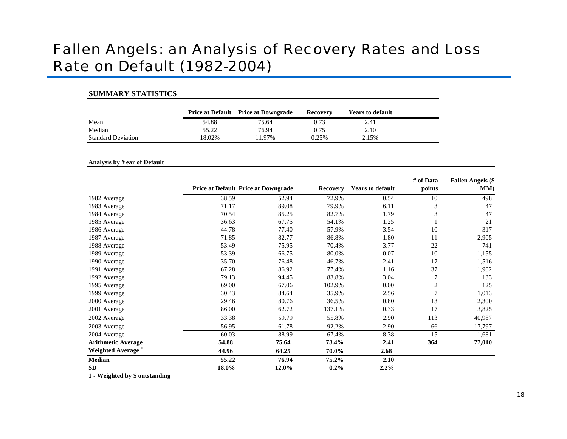### Fallen Angels: an Analysis of Recovery Rates and Loss Rate on Default (1982-2004)

#### **SUMMARY STATISTICS**

|                           |        | <b>Price at Default</b> Price at Downgrade | Recovery | <b>Years to default</b> |
|---------------------------|--------|--------------------------------------------|----------|-------------------------|
| Mean                      | 54.88  | 75.64                                      | 0.73     | 2.41                    |
| Median                    | 55.22  | 76.94                                      | 0.75     | 2.10                    |
| <b>Standard Deviation</b> | 18.02% | 11.97%                                     | 0.25%    | 2.15%                   |

#### **A nalysis by Year of Default**

|                               |       | <b>Price at Default Price at Downgrade</b> |         | <b>Years to default</b> | # of Data<br>points | <b>Fallen Angels (\$</b><br>MM) |
|-------------------------------|-------|--------------------------------------------|---------|-------------------------|---------------------|---------------------------------|
| 1982 Average                  | 38.59 | 52.94                                      | 72.9%   | 0.54                    | 10                  | 498                             |
| 1983 Average                  | 71.17 | 89.08                                      | 79.9%   | 6.11                    | $\mathfrak{Z}$      | 47                              |
| 1984 Average                  | 70.54 | 85.25                                      | 82.7%   | 1.79                    | 3                   | 47                              |
| 1985 Average                  | 36.63 | 67.75                                      | 54.1%   | 1.25                    |                     | 21                              |
| 1986 Average                  | 44.78 | 77.40                                      | 57.9%   | 3.54                    | 10                  | 317                             |
| 1987 Average                  | 71.85 | 82.77                                      | 86.8%   | 1.80                    | 11                  | 2,905                           |
| 1988 Average                  | 53.49 | 75.95                                      | 70.4%   | 3.77                    | 22                  | 741                             |
| 1989 Average                  | 53.39 | 66.75                                      | 80.0%   | 0.07                    | 10                  | 1,155                           |
| 1990 Average                  | 35.70 | 76.48                                      | 46.7%   | 2.41                    | 17                  | 1,516                           |
| 1991 Average                  | 67.28 | 86.92                                      | 77.4%   | 1.16                    | 37                  | 1,902                           |
| 1992 Average                  | 79.13 | 94.45                                      | 83.8%   | 3.04                    | 7                   | 133                             |
| 1995 Average                  | 69.00 | 67.06                                      | 102.9%  | 0.00                    | $\overline{c}$      | 125                             |
| 1999 Average                  | 30.43 | 84.64                                      | 35.9%   | 2.56                    | $\overline{7}$      | 1,013                           |
| 2000 Average                  | 29.46 | 80.76                                      | 36.5%   | 0.80                    | 13                  | 2,300                           |
| 2001 Average                  | 86.00 | 62.72                                      | 137.1%  | 0.33                    | 17                  | 3,825                           |
| 2002 Average                  | 33.38 | 59.79                                      | 55.8%   | 2.90                    | 113                 | 40,987                          |
| 2003 Average                  | 56.95 | 61.78                                      | 92.2%   | 2.90                    | 66                  | 17,797                          |
| 2004 Average                  | 60.03 | 88.99                                      | 67.4%   | 8.38                    | 15                  | 1,681                           |
| <b>Arithmetic Average</b>     | 54.88 | 75.64                                      | 73.4%   | 2.41                    | 364                 | 77,010                          |
| Weighted Average <sup>1</sup> | 44.96 | 64.25                                      | 70.0%   | 2.68                    |                     |                                 |
| Median                        | 55.22 | 76.94                                      | 75.2%   | 2.10                    |                     |                                 |
| SD                            | 18.0% | 12.0%                                      | $0.2\%$ | $2.2\%$                 |                     |                                 |

**1 - Weighted by \$ outstan ding**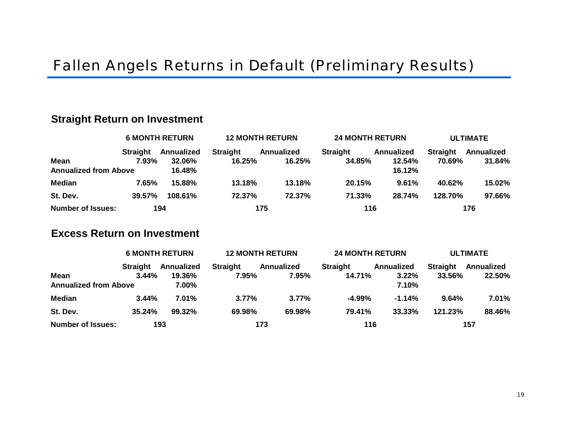#### **St r aight Ret u r n on I n vestm ent**

|                              | <b>6 MONTH RETURN</b> |            | <b>12 MONTH RETURN</b> |            | <b>24 MONTH RETURN</b> |            | <b>ULTIMATE</b> |            |  |
|------------------------------|-----------------------|------------|------------------------|------------|------------------------|------------|-----------------|------------|--|
|                              | <b>Straight</b>       | Annualized | <b>Straight</b>        | Annualized | <b>Straight</b>        | Annualized | <b>Straight</b> | Annualized |  |
| <b>Mean</b>                  | $7.93\%$              | 32.06%     | 16.25%                 | 16.25%     | 34.85%                 | 12.54%     | 70.69%          | 31.84%     |  |
| <b>Annualized from Above</b> |                       | 16.48%     |                        |            |                        | 16.12%     |                 |            |  |
| <b>Median</b>                | 7.65%                 | 15.88%     | 13.18%                 | 13.18%     | 20.15%                 | 9.61%      | 40.62%          | 15.02%     |  |
| St. Dev.                     | 39.57%                | 108.61%    | 72.37%                 | 72.37%     | 71.33%                 | 28.74%     | 128.70%         | 97.66%     |  |
| <b>Number of Issues:</b>     |                       | 194        |                        | 175        | 116                    |            |                 | 176        |  |

#### **Excess Return on I nvestment**

|                              |                 | <b>6 MONTH RETURN</b> | <b>12 MONTH RETURN</b> |            | <b>24 MONTH RETURN</b> |            | <b>ULTIMATE</b> |            |  |
|------------------------------|-----------------|-----------------------|------------------------|------------|------------------------|------------|-----------------|------------|--|
|                              | <b>Straight</b> | Annualized            | <b>Straight</b>        | Annualized | <b>Straight</b>        | Annualized | <b>Straight</b> | Annualized |  |
| <b>Mean</b>                  | $3.44\%$        | 19.36%                | 7.95%                  | $7.95\%$   | 14.71%                 | 3.22%      | 33.56%          | 22.50%     |  |
| <b>Annualized from Above</b> |                 | 7.00%                 |                        |            |                        | 7.10%      |                 |            |  |
| <b>Median</b>                | 3.44%           | 7.01%                 | $3.77\%$               | $3.77\%$   | $-4.99\%$              | $-1.14%$   | 9.64%           | 7.01%      |  |
| St. Dev.                     | 35.24%          | 99.32%                | 69.98%                 | 69.98%     | 79.41%                 | 33.33%     | 121.23%         | 88.46%     |  |
| <b>Number of Issues:</b>     |                 | 193                   |                        | 173        | 116                    |            |                 | 157        |  |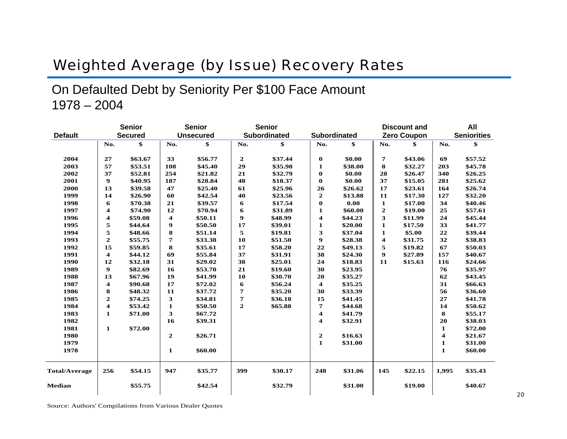### **Weighted Average (by Issue) Recovery Rates**

On Defaulted Debt by Seniority Per \$100 Face Amount  $1978 - 2004$ 

|                      |                  | <b>Senior</b>  |              | <b>Senior</b>    |                  | <b>Senior</b>       |                         |          |                         | <b>Discount and</b> |              | All                |
|----------------------|------------------|----------------|--------------|------------------|------------------|---------------------|-------------------------|----------|-------------------------|---------------------|--------------|--------------------|
| <b>Default</b>       |                  | <b>Secured</b> |              | <b>Unsecured</b> |                  | <b>Subordinated</b> | Subordinated            |          |                         | <b>Zero Coupon</b>  |              | <b>Seniorities</b> |
|                      | No.              | \$             | No.          | \$               | No.              | \$                  | No.                     | \$       | No.                     | \$                  | No.          | \$                 |
| 2004                 | 27               | \$63.67        | 33           | \$56.77          | $\mathbf{2}$     | \$37.44             | $\bf{0}$                | \$0.00   | 7                       | \$43.06             | 69           | \$57.52            |
| 2003                 | 57               | \$53.51        | 108          | \$45.40          | 29               | \$35.98             | $\mathbf{1}$            | \$38.00  | 8                       | \$32.27             | 203          | \$45.78            |
| 2002                 | 37               | \$52.81        | 254          | \$21.82          | 21               | \$32.79             | $\bf{0}$                | \$0.00   | 28                      | \$26.47             | 340          | \$26.25            |
| 2001                 | 9                | \$40.95        | 187          | \$28.84          | 48               | \$18.37             | $\bf{0}$                | \$0.00   | 37                      | \$15.05             | 281          | \$25.62            |
| 2000                 | 13               | \$39.58        | 47           | \$25.40          | 61               | \$25.96             | 26                      | \$26.62  | 17                      | \$23.61             | 164          | \$26.74            |
| 1999                 | 14               | \$26.90        | 60           | \$42.54          | 40               | \$23.56             | $\mathbf 2$             | \$13.88  | 11                      | \$17.30             | 127          | \$32.20            |
| 1998                 | 6                | \$70.38        | 21           | \$39.57          | 6                | \$17.54             | $\bf{0}$                | $0.00\,$ | 1                       | \$17.00             | 34           | \$40.46            |
| 1997                 | 4                | \$74.90        | 12           | \$70.94          | 6                | \$31.89             | $\mathbf{1}$            | \$60.00  | $\boldsymbol{2}$        | \$19.00             | 25           | \$57.61            |
| 1996                 | 4                | \$59.08        | 4            | \$50.11          | 9                | \$48.99             | $\overline{\mathbf{4}}$ | \$44.23  | 3                       | \$11.99             | 24           | \$45.44            |
| 1995                 | 5                | \$44.64        | 9            | \$50.50          | 17               | \$39.01             | $\mathbf{1}$            | \$20.00  | 1                       | \$17.50             | 33           | \$41.77            |
| 1994                 | 5                | \$48.66        | 8            | \$51.14          | 5                | \$19.81             | 3                       | \$37.04  | $\mathbf{1}$            | \$5.00              | 22           | \$39.44            |
| 1993                 | $\mathbf{2}$     | \$55.75        | 7            | \$33.38          | 10               | \$51.50             | $\boldsymbol{9}$        | \$28.38  | $\overline{\mathbf{4}}$ | \$31.75             | 32           | \$38.83            |
| 1992                 | 15               | \$59.85        | 8            | \$35.61          | 17               | \$58.20             | 22                      | \$49.13  | 5                       | \$19.82             | 67           | \$50.03            |
| 1991                 | $\boldsymbol{4}$ | \$44.12        | 69           | \$55.84          | 37               | \$31.91             | 38                      | \$24.30  | 9                       | \$27.89             | 157          | \$40.67            |
| 1990                 | 12               | \$32.18        | 31           | \$29.02          | 38               | \$25.01             | 24                      | \$18.83  | 11                      | \$15.63             | 116          | \$24.66            |
| 1989                 | $\boldsymbol{9}$ | \$82.69        | 16           | \$53.70          | 21               | \$19.60             | 30                      | \$23.95  |                         |                     | 76           | \$35.97            |
| 1988                 | 13               | \$67.96        | 19           | \$41.99          | 10               | \$30.70             | 20                      | \$35.27  |                         |                     | 62           | \$43.45            |
| 1987                 | 4                | \$90.68        | 17           | \$72.02          | 6                | \$56.24             | $\overline{\mathbf{4}}$ | \$35.25  |                         |                     | 31           | \$66.63            |
| 1986                 | 8                | \$48.32        | 11           | \$37.72          | 7                | \$35.20             | 30                      | \$33.39  |                         |                     | 56           | \$36.60            |
| 1985                 | $\mathbf{2}$     | \$74.25        | 3            | \$34.81          | 7                | \$36.18             | 15                      | \$41.45  |                         |                     | 27           | \$41.78            |
| 1984                 | 4                | \$53.42        | 1            | \$50.50          | $\boldsymbol{2}$ | \$65.88             | 7                       | \$44.68  |                         |                     | 14           | \$50.62            |
| 1983                 | $\mathbf{1}$     | \$71.00        | 3            | \$67.72          |                  |                     | $\overline{\mathbf{4}}$ | \$41.79  |                         |                     | 8            | \$55.17            |
| 1982                 |                  |                | 16           | \$39.31          |                  |                     | $\overline{\mathbf{4}}$ | \$32.91  |                         |                     | 20           | \$38.03            |
| 1981                 | 1                | \$72.00        |              |                  |                  |                     |                         |          |                         |                     | 1            | \$72.00            |
| 1980                 |                  |                | $\mathbf{2}$ | \$26.71          |                  |                     | $\boldsymbol{2}$        | \$16.63  |                         |                     | 4            | \$21.67            |
| 1979                 |                  |                |              |                  |                  |                     | 1                       | \$31.00  |                         |                     | $\mathbf{1}$ | \$31.00            |
| 1978                 |                  |                | 1            | \$60.00          |                  |                     |                         |          |                         |                     | 1            | \$60.00            |
| <b>Total/Average</b> | 256              | \$54.15        | 947          | \$35.77          | 399              | \$30.17             | 248                     | \$31.06  | 145                     | \$22.15             | 1,995        | \$35.43            |
| Median               |                  | \$55.75        |              | \$42.54          |                  | \$32.79             |                         | \$31.00  |                         | \$19.00             |              | \$40.67            |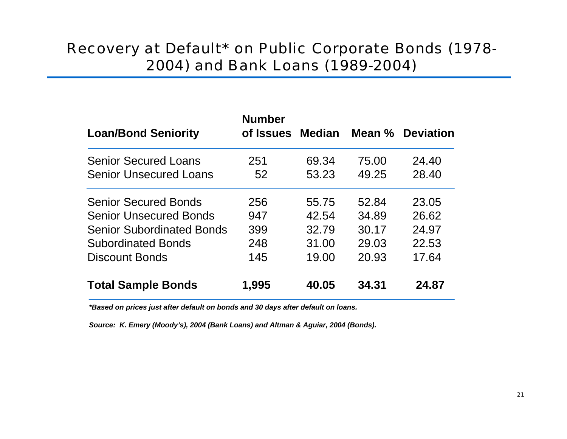### Recovery at Default\* on Public Corporate Bonds (1978- 2004) and Bank Loans (1989-2004)

| <b>Loan/Bond Seniority</b>       | <b>Number</b><br>of Issues | <b>Median</b> |       | Mean % Deviation |
|----------------------------------|----------------------------|---------------|-------|------------------|
| <b>Senior Secured Loans</b>      | 251                        | 69.34         | 75.00 | 24.40            |
| <b>Senior Unsecured Loans</b>    | 52                         | 53.23         | 49.25 | 28.40            |
| <b>Senior Secured Bonds</b>      | 256                        | 55.75         | 52.84 | 23.05            |
| <b>Senior Unsecured Bonds</b>    | 947                        | 42.54         | 34.89 | 26.62            |
| <b>Senior Subordinated Bonds</b> | 399                        | 32.79         | 30.17 | 24.97            |
| <b>Subordinated Bonds</b>        | 248                        | 31.00         | 29.03 | 22.53            |
| <b>Discount Bonds</b>            | 145                        | 19.00         | 20.93 | 17.64            |
| <b>Total Sample Bonds</b>        | 1,995                      | 40.05         | 34.31 | 24.87            |

*\*Based on prices just after default on bonds and 30 days after default on loans.*

Source: K. Emery (Moody's), 2004 (Bank Loans) and Altman & Aguiar, 2004 (Bonds).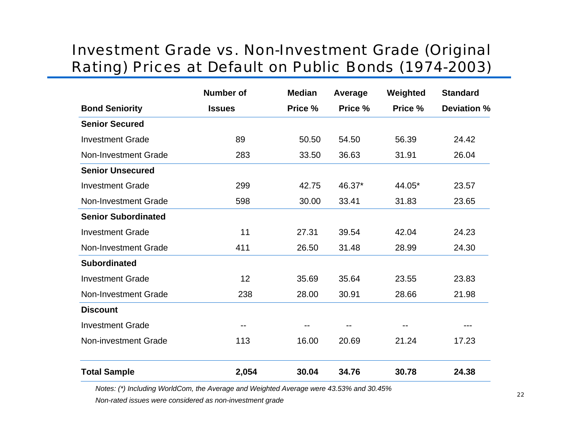### **Investment Grade vs. Non-Investment Grade (Original** Rating) Prices at Default on Public Bonds (1974-2003)

|                             | <b>Number of</b> | <b>Median</b> | Average | Weighted | <b>Standard</b>    |
|-----------------------------|------------------|---------------|---------|----------|--------------------|
| <b>Bond Seniority</b>       | <b>Issues</b>    | Price %       | Price % | Price %  | <b>Deviation %</b> |
| <b>Senior Secured</b>       |                  |               |         |          |                    |
| <b>Investment Grade</b>     | 89               | 50.50         | 54.50   | 56.39    | 24.42              |
| Non-Investment Grade        | 283              | 33.50         | 36.63   | 31.91    | 26.04              |
| <b>Senior Unsecured</b>     |                  |               |         |          |                    |
| <b>Investment Grade</b>     | 299              | 42.75         | 46.37*  | 44.05*   | 23.57              |
| Non-Investment Grade        | 598              | 30.00         | 33.41   | 31.83    | 23.65              |
| <b>Senior Subordinated</b>  |                  |               |         |          |                    |
| <b>Investment Grade</b>     | 11               | 27.31         | 39.54   | 42.04    | 24.23              |
| <b>Non-Investment Grade</b> | 411              | 26.50         | 31.48   | 28.99    | 24.30              |
| <b>Subordinated</b>         |                  |               |         |          |                    |
| <b>Investment Grade</b>     | 12               | 35.69         | 35.64   | 23.55    | 23.83              |
| Non-Investment Grade        | 238              | 28.00         | 30.91   | 28.66    | 21.98              |
| <b>Discount</b>             |                  |               |         |          |                    |
| <b>Investment Grade</b>     |                  | --            |         |          | ---                |
| <b>Non-investment Grade</b> | 113              | 16.00         | 20.69   | 21.24    | 17.23              |
| <b>Total Sample</b>         | 2,054            | 30.04         | 34.76   | 30.78    | 24.38              |

Notes: (\*) Including WorldCom, the Average and Weighted Average were 43.53% and 30.45%

Non-rated issues were considered as non-investment grade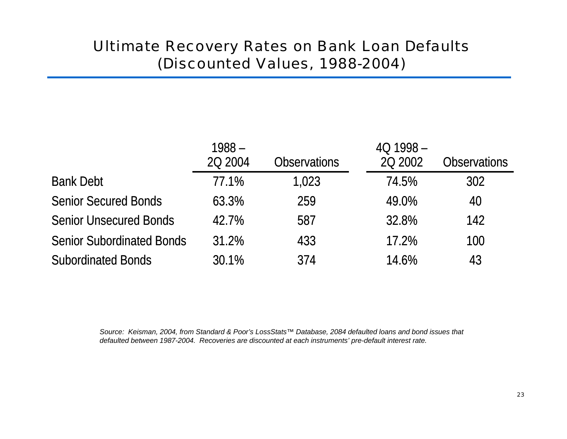### Ultimate Recovery Rates on Bank Loan Defaults (Discounted Values, 1988-2004)

|                                  | $1988 -$<br>20 2004 | <b>Observations</b> | $401998 -$<br>20 2002 | <b>Observations</b> |
|----------------------------------|---------------------|---------------------|-----------------------|---------------------|
| <b>Bank Debt</b>                 | 77.1%               | 1,023               | 74.5%                 | 302                 |
| <b>Senior Secured Bonds</b>      | 63.3%               | 259                 | 49.0%                 | 40                  |
| <b>Senior Unsecured Bonds</b>    | 42.7%               | 587                 | 32.8%                 | 142                 |
| <b>Senior Subordinated Bonds</b> | 31.2%               | 433                 | 17.2%                 | 100                 |
| <b>Subordinated Bonds</b>        | 30.1%               | 374                 | 14.6%                 | 43                  |

*Source: Keisman, 2004, from Standard & Poor's LossStats™ Database, 2084 defaulted loans and bond issues that defaulted between 1987-2004. Recoveries are discounted at each instruments' pre-default interest rate.*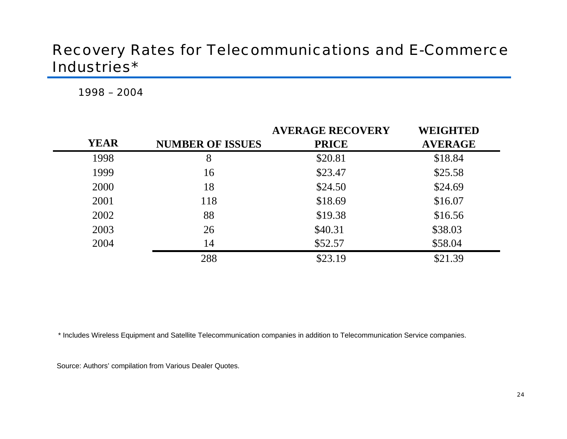### **Recovery Rates for Telecommunications and E-Commerce** Industries\*

1998 - 2004

|             |                         | <b>AVERAGE RECOVERY</b> | <b>WEIGHTED</b> |
|-------------|-------------------------|-------------------------|-----------------|
| <b>YEAR</b> | <b>NUMBER OF ISSUES</b> | <b>PRICE</b>            | <b>AVERAGE</b>  |
| 1998        | 8                       | \$20.81                 | \$18.84         |
| 1999        | 16                      | \$23.47                 | \$25.58         |
| 2000        | 18                      | \$24.50                 | \$24.69         |
| 2001        | 118                     | \$18.69                 | \$16.07         |
| 2002        | 88                      | \$19.38                 | \$16.56         |
| 2003        | 26                      | \$40.31                 | \$38.03         |
| 2004        | 14                      | \$52.57                 | \$58.04         |
|             | 288                     | \$23.19                 | \$21.39         |

\* Includes Wireless Equipment and Satellite Telecommunication companies in addition to Telecommunication Service companies.

Source: Authors' compilation from Various Dealer Quotes.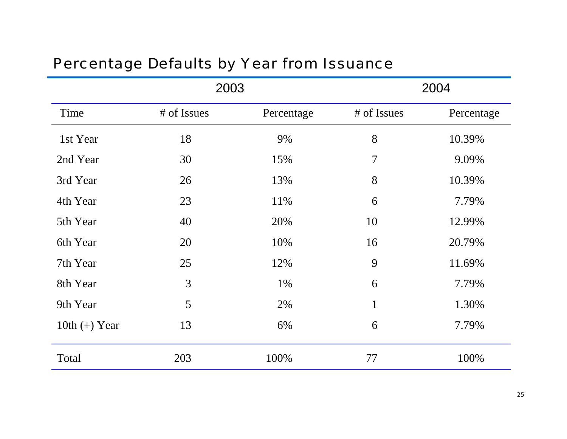### Percentage Defaults by Year from Issuance

|                 | 2003        |            |                | 2004       |
|-----------------|-------------|------------|----------------|------------|
| Time            | # of Issues | Percentage | # of Issues    | Percentage |
| 1st Year        | 18          | 9%         | 8              | 10.39%     |
| 2nd Year        | 30          | 15%        | $\overline{7}$ | 9.09%      |
| 3rd Year        | 26          | 13%        | 8              | 10.39%     |
| 4th Year        | 23          | 11%        | 6              | 7.79%      |
| 5th Year        | 40          | 20%        | 10             | 12.99%     |
| 6th Year        | 20          | 10%        | 16             | 20.79%     |
| 7th Year        | 25          | 12%        | 9              | 11.69%     |
| 8th Year        | 3           | 1%         | 6              | 7.79%      |
| 9th Year        | 5           | 2%         | $\mathbf{1}$   | 1.30%      |
| 10th $(+)$ Year | 13          | 6%         | 6              | 7.79%      |
| Total           | 203         | 100%       | 77             | 100%       |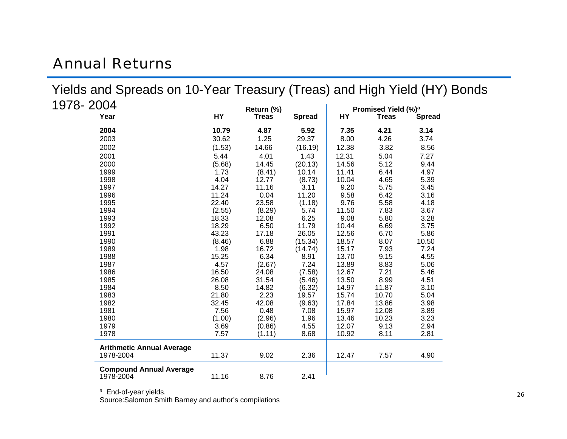### Annual Returns

1

| 978- 2004                        |        | Return (%)   |               |       | Promised Yield (%) <sup>a</sup> |        |
|----------------------------------|--------|--------------|---------------|-------|---------------------------------|--------|
| Year                             | HY     | <b>Treas</b> | <b>Spread</b> | HY    | <b>Treas</b>                    | Spread |
| 2004                             | 10.79  | 4.87         | 5.92          | 7.35  | 4.21                            | 3.14   |
| 2003                             | 30.62  | 1.25         | 29.37         | 8.00  | 4.26                            | 3.74   |
| 2002                             | (1.53) | 14.66        | (16.19)       | 12.38 | 3.82                            | 8.56   |
| 2001                             | 5.44   | 4.01         | 1.43          | 12.31 | 5.04                            | 7.27   |
| 2000                             | (5.68) | 14.45        | (20.13)       | 14.56 | 5.12                            | 9.44   |
| 1999                             | 1.73   | (8.41)       | 10.14         | 11.41 | 6.44                            | 4.97   |
| 1998                             | 4.04   | 12.77        | (8.73)        | 10.04 | 4.65                            | 5.39   |
| 1997                             | 14.27  | 11.16        | 3.11          | 9.20  | 5.75                            | 3.45   |
| 1996                             | 11.24  | 0.04         | 11.20         | 9.58  | 6.42                            | 3.16   |
| 1995                             | 22.40  | 23.58        | (1.18)        | 9.76  | 5.58                            | 4.18   |
| 1994                             | (2.55) | (8.29)       | 5.74          | 11.50 | 7.83                            | 3.67   |
| 1993                             | 18.33  | 12.08        | 6.25          | 9.08  | 5.80                            | 3.28   |
| 1992                             | 18.29  | 6.50         | 11.79         | 10.44 | 6.69                            | 3.75   |
| 1991                             | 43.23  | 17.18        | 26.05         | 12.56 | 6.70                            | 5.86   |
| 1990                             | (8.46) | 6.88         | (15.34)       | 18.57 | 8.07                            | 10.50  |
| 1989                             | 1.98   | 16.72        | (14.74)       | 15.17 | 7.93                            | 7.24   |
| 1988                             | 15.25  | 6.34         | 8.91          | 13.70 | 9.15                            | 4.55   |
| 1987                             | 4.57   | (2.67)       | 7.24          | 13.89 | 8.83                            | 5.06   |
| 1986                             | 16.50  | 24.08        | (7.58)        | 12.67 | 7.21                            | 5.46   |
| 1985                             | 26.08  | 31.54        | (5.46)        | 13.50 | 8.99                            | 4.51   |
| 1984                             | 8.50   | 14.82        | (6.32)        | 14.97 | 11.87                           | 3.10   |
| 1983                             | 21.80  | 2.23         | 19.57         | 15.74 | 10.70                           | 5.04   |
| 1982                             | 32.45  | 42.08        | (9.63)        | 17.84 | 13.86                           | 3.98   |
| 1981                             | 7.56   | 0.48         | 7.08          | 15.97 | 12.08                           | 3.89   |
| 1980                             | (1.00) | (2.96)       | 1.96          | 13.46 | 10.23                           | 3.23   |
| 1979                             | 3.69   | (0.86)       | 4.55          | 12.07 | 9.13                            | 2.94   |
| 1978                             | 7.57   | (1.11)       | 8.68          | 10.92 | 8.11                            | 2.81   |
| <b>Arithmetic Annual Average</b> |        |              |               |       |                                 |        |
| 1978-2004                        | 11.37  | 9.02         | 2.36          | 12.47 | 7.57                            | 4.90   |
| <b>Compound Annual Average</b>   |        |              |               |       |                                 |        |
| 1978-2004                        | 11.16  | 8.76         | 2.41          |       |                                 |        |

Yields and Spreads on 10-Year Treasury (Treas) and High Yield (HY) Bonds

<sup>a</sup> End-of-year yields.

Source: Salomon Smith Barney and author's compilations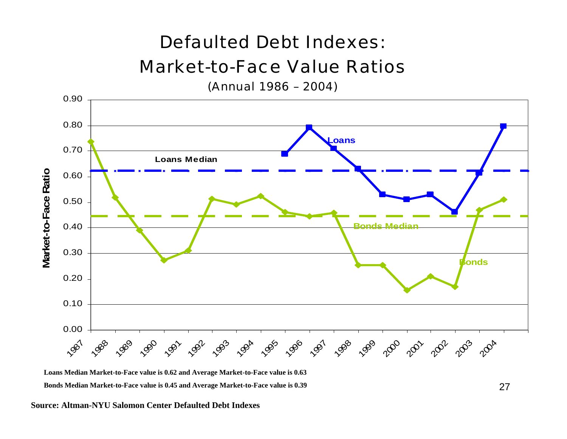# Defaulted Debt Indexes:Market-to-Face Value Ratios

(Annual 1986 – 2004)



 $\tt Long$  Median Market-to-Face value is 0.62 and Average Market-to-Face value is 0.63 **Bo n ds Media n Market-to-Face value is 0.45 a n d A verage Market-to-Face value is 0.39**

#### **Source: Altman-NYU Salomon Center Defaulted Debt Indexes**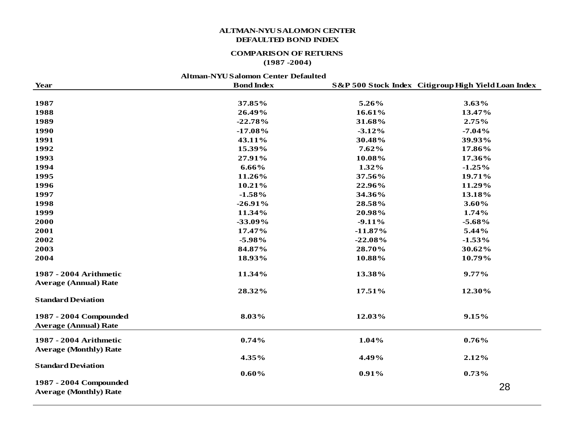#### **ALTMAN-NYU SALOMON CENTER DEFAULTED BOND INDEX**

#### **COMPARISON OF RETURNS**

#### **(1987 -2004)**

#### **Altman-NYU Salomon Center Defaulted**

| Year                          | <b>Bond Index</b> |           | S&P 500 Stock Index Citigroup High Yield Loan Index |
|-------------------------------|-------------------|-----------|-----------------------------------------------------|
| 1987                          | 37.85%            | 5.26%     | 3.63%                                               |
| 1988                          | 26.49%            | 16.61%    | 13.47%                                              |
| 1989                          | $-22.78%$         | 31.68%    | 2.75%                                               |
| 1990                          | $-17.08%$         | $-3.12%$  | $-7.04%$                                            |
| 1991                          | 43.11%            | 30.48%    | 39.93%                                              |
| 1992                          | 15.39%            | 7.62%     | 17.86%                                              |
| 1993                          | 27.91%            | 10.08%    | 17.36%                                              |
| 1994                          | 6.66%             | 1.32%     | $-1.25%$                                            |
| 1995                          | 11.26%            | 37.56%    | 19.71%                                              |
| 1996                          | 10.21%            | 22.96%    | 11.29%                                              |
| 1997                          | $-1.58%$          | 34.36%    | 13.18%                                              |
| 1998                          | $-26.91%$         | 28.58%    | 3.60%                                               |
| 1999                          | 11.34%            | 20.98%    | 1.74%                                               |
| 2000                          | $-33.09%$         | $-9.11%$  | $-5.68\%$                                           |
| 2001                          | 17.47%            | $-11.87%$ | 5.44%                                               |
| 2002                          | $-5.98%$          | $-22.08%$ | $-1.53%$                                            |
| 2003                          | 84.87%            | 28.70%    | 30.62%                                              |
| 2004                          | 18.93%            | 10.88%    | 10.79%                                              |
| 1987 - 2004 Arithmetic        | 11.34%            | 13.38%    | 9.77%                                               |
| <b>Average (Annual) Rate</b>  | 28.32%            | 17.51%    | 12.30%                                              |
| <b>Standard Deviation</b>     |                   |           |                                                     |
| 1987 - 2004 Compounded        | 8.03%             | 12.03%    | 9.15%                                               |
| <b>Average (Annual) Rate</b>  |                   |           |                                                     |
| 1987 - 2004 Arithmetic        | 0.74%             | 1.04%     | 0.76%                                               |
| <b>Average (Monthly) Rate</b> |                   |           |                                                     |
|                               | 4.35%             | 4.49%     | 2.12%                                               |
| <b>Standard Deviation</b>     |                   |           |                                                     |
|                               | 0.60%             | 0.91%     | 0.73%                                               |
| 1987 - 2004 Compounded        |                   |           | 28                                                  |
| <b>Average (Monthly) Rate</b> |                   |           |                                                     |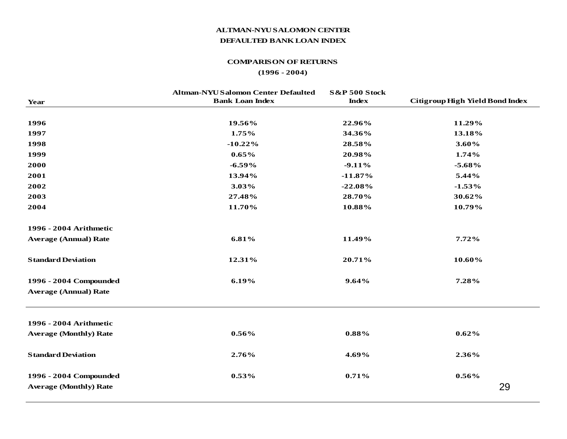#### **ALTMAN-NYU SALOMON CENTER DEFAULTED BANK LOAN INDEX**

#### **COMPARISON OF RETURNS**

#### **(1996 - 2004)**

| <b>Year</b>                   | <b>Altman-NYU Salomon Center Defaulted</b><br><b>Bank Loan Index</b> | <b>S&amp;P 500 Stock</b><br><b>Index</b> | Citigroup High Yield Bond Index |
|-------------------------------|----------------------------------------------------------------------|------------------------------------------|---------------------------------|
| 1996                          | 19.56%                                                               | 22.96%                                   | 11.29%                          |
| 1997                          | 1.75%                                                                | 34.36%                                   | 13.18%                          |
| 1998                          | $-10.22\%$                                                           | 28.58%                                   | $3.60\%$                        |
| 1999                          | $0.65\%$                                                             | 20.98%                                   | 1.74%                           |
| 2000                          | $-6.59%$                                                             | $-9.11%$                                 | $-5.68%$                        |
| 2001                          | 13.94%                                                               | $-11.87\%$                               | 5.44%                           |
| 2002                          | 3.03%                                                                | $-22.08%$                                | $-1.53%$                        |
| 2003                          | 27.48%                                                               | 28.70%                                   | 30.62%                          |
| 2004                          | 11.70%                                                               | 10.88%                                   | 10.79%                          |
| 1996 - 2004 Arithmetic        |                                                                      |                                          |                                 |
| <b>Average (Annual) Rate</b>  | 6.81%                                                                | 11.49%                                   | $7.72\%$                        |
| <b>Standard Deviation</b>     | 12.31%                                                               | 20.71%                                   | 10.60%                          |
| 1996 - 2004 Compounded        | 6.19%                                                                | 9.64%                                    | 7.28%                           |
| <b>Average (Annual) Rate</b>  |                                                                      |                                          |                                 |
| 1996 - 2004 Arithmetic        |                                                                      |                                          |                                 |
| <b>Average (Monthly) Rate</b> | $0.56\%$                                                             | 0.88%                                    | $0.62\%$                        |
| <b>Standard Deviation</b>     | 2.76%                                                                | 4.69%                                    | 2.36%                           |
| 1996 - 2004 Compounded        | 0.53%                                                                | 0.71%                                    | $0.56\%$                        |
| <b>Average (Monthly) Rate</b> |                                                                      |                                          | 29                              |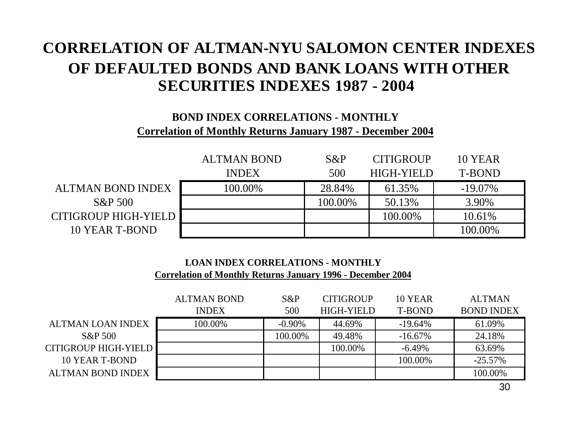### **CORRELATION OF ALTMAN-NYU SALOMON CENTER INDEXESOF DEFAULTED BONDS AND BANK LOANS WITH OTHERSECURITIES INDEXES 1987 - 2004**

#### **BOND INDEX CORRELATIONS - MONTHLYCorrelation of Monthly Returns January 1987 - December 2004**

|                      | <b>ALTMAN BOND</b> | $S\&P$  | <b>CITIGROUP</b>  | <b>10 YEAR</b> |
|----------------------|--------------------|---------|-------------------|----------------|
|                      | <b>INDEX</b>       | 500     | <b>HIGH-YIELD</b> | T-BOND         |
| ALTMAN BOND INDEX    | 100.00%            | 28.84%  | 61.35%            | $-19.07\%$     |
| $S\&P 500$           |                    | 100.00% | 50.13%            | 3.90%          |
| CITIGROUP HIGH-YIELD |                    |         | 100.00%           | 10.61%         |
| 10 YEAR T-BOND       |                    |         |                   | 100.00%        |

#### **LOAN INDEX CORRELATIONS - MONTHLYCorrelation of Monthly Returns January 1996 - December 2004**

|                             | <b>ALTMAN BOND</b> | $S\&P$    | <b>CITIGROUP</b>  | 10 YEAR    | <b>ALTMAN</b>     |
|-----------------------------|--------------------|-----------|-------------------|------------|-------------------|
|                             | <b>INDEX</b>       | 500       | <b>HIGH-YIELD</b> | T-BOND     | <b>BOND INDEX</b> |
| ALTMAN LOAN INDEX           | 100.00%            | $-0.90\%$ | 44.69%            | $-19.64\%$ | 61.09%            |
| S&P 500                     |                    | 100.00%   | 49.48%            | $-16.67\%$ | 24.18%            |
| <b>CITIGROUP HIGH-YIELD</b> |                    |           | 100.00%           | $-6.49\%$  | 63.69%            |
| 10 YEAR T-BOND              |                    |           |                   | 100.00%    | $-25.57%$         |
| <b>ALTMAN BOND INDEX</b>    |                    |           |                   |            | 100.00%           |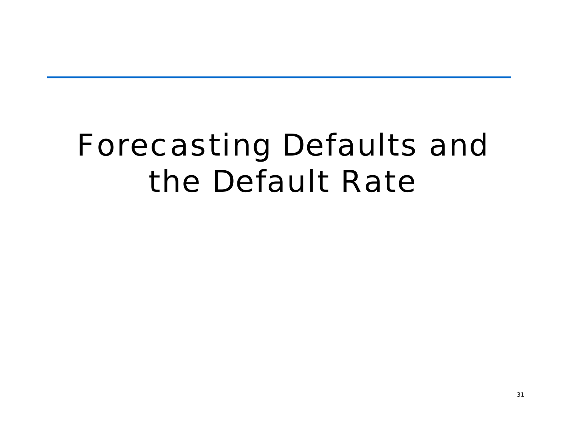# Forecasting Defaults and the Default Rate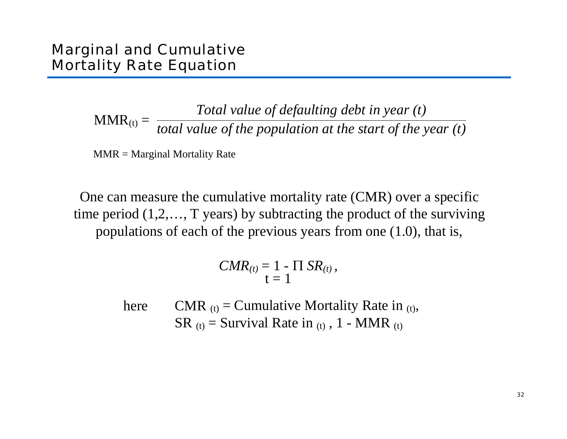#### Marginal and Cumulative Mortality Rate Equation

 $\text{MMR}_{\text{(t)}} =$ *Total value of defaulting debt in year (t) total value of the population at the start of the year (t)*

MMR = Marginal Mortality Rate

One can measure the cumulative mortality rate (CMR) over a specific time period (1, 2,…, T years) by subtracting the product of the surviving populations of each of the previous years from one (1.0), that is,

$$
CMR_{(t)} = 1 - \Pi SR_{(t)},
$$
  

$$
t = 1
$$

hereCMR  $(t)$  = Cumulative Mortality Rate in  $(t)$ , SR  $(t)$  = Survival Rate in  $(t)$ , 1 - MMR  $(t)$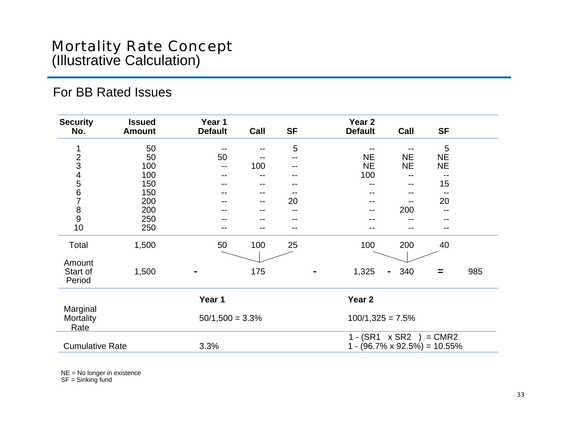#### For BB Rated Issues

| <b>Security</b><br>No.       | <b>Issued</b><br><b>Amount</b> | Year 1<br><b>Default</b> | Call              | <b>SF</b> | Year <sub>2</sub><br><b>Default</b>    | Call                | <b>SF</b> |     |
|------------------------------|--------------------------------|--------------------------|-------------------|-----------|----------------------------------------|---------------------|-----------|-----|
|                              |                                |                          |                   |           |                                        |                     |           |     |
| 1                            | 50                             |                          |                   | 5         |                                        |                     | 5         |     |
|                              | 50                             | 50                       |                   | $-$       | <b>NE</b>                              | <b>NE</b>           | <b>NE</b> |     |
|                              | 100                            | --                       | 100               | --        | <b>NE</b>                              | <b>NE</b>           | <b>NE</b> |     |
|                              | 100                            |                          |                   |           | 100                                    |                     |           |     |
|                              | 150                            |                          |                   |           |                                        | --                  | 15        |     |
| 234567                       | 150                            | --                       | $\qquad \qquad -$ |           | --                                     | --                  |           |     |
|                              | 200                            |                          | $\qquad \qquad -$ | 20        | --                                     | --                  | 20        |     |
| $\frac{8}{9}$                | 200                            | --                       | --                | --        | $- -$                                  | 200                 | --        |     |
|                              | 250                            |                          |                   |           |                                        |                     |           |     |
| 10                           | 250                            | --                       |                   | --        | --                                     |                     |           |     |
| Total                        | 1,500                          | 50                       | 100               | 25        | 100                                    | 200                 | 40        |     |
| Amount<br>Start of<br>Period | 1,500                          |                          | 175               |           | 1,325                                  | 340<br>$\mathbf{m}$ | $=$       | 985 |
|                              |                                | Year 1                   |                   |           | Year <sub>2</sub>                      |                     |           |     |
| Marginal                     |                                |                          |                   |           |                                        |                     |           |     |
| Mortality<br>Rate            |                                | $50/1,500 = 3.3\%$       |                   |           | $100/1,325 = 7.5%$                     |                     |           |     |
|                              |                                |                          |                   |           | $1 - (SR1 \times SR2)$                 |                     | $= CMR2$  |     |
| <b>Cumulative Rate</b>       |                                | 3.3%                     |                   |           | 1 - $(96.7\% \times 92.5\%) = 10.55\%$ |                     |           |     |

NE = No longer in existence SF = Sinking fund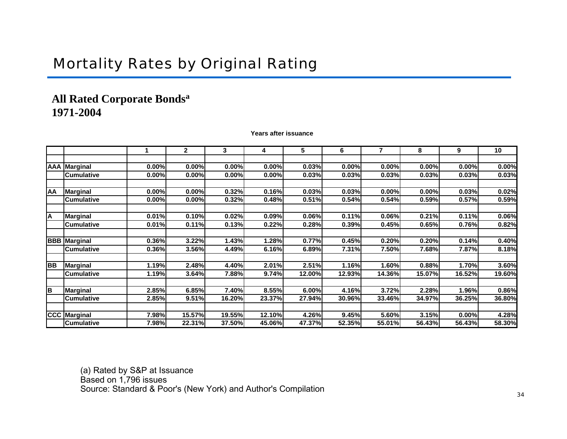### Mortality Rates by Original Rating

#### All Rated Corporate Bonds<sup>a</sup> **1971-2004**

**Years after issuance**

|           |                     |       | 2      | 3      | 4      | 5      | 6      | 7      | 8      | 9      | 10     |
|-----------|---------------------|-------|--------|--------|--------|--------|--------|--------|--------|--------|--------|
|           |                     |       |        |        |        |        |        |        |        |        |        |
|           | AAA Marginal        | 0.00% | 0.00%  | 0.00%  | 0.00%  | 0.03%  | 0.00%  | 0.00%  | 0.00%  | 0.00%  | 0.00%  |
|           | <b>Cumulative</b>   | 0.00% | 0.00%  | 0.00%  | 0.00%  | 0.03%  | 0.03%  | 0.03%  | 0.03%  | 0.03%  | 0.03%  |
|           |                     |       |        |        |        |        |        |        |        |        |        |
| AA        | <b>Marginal</b>     | 0.00% | 0.00%  | 0.32%  | 0.16%  | 0.03%  | 0.03%  | 0.00%  | 0.00%  | 0.03%  | 0.02%  |
|           | <b>Cumulative</b>   | 0.00% | 0.00%  | 0.32%  | 0.48%  | 0.51%  | 0.54%  | 0.54%  | 0.59%  | 0.57%  | 0.59%  |
|           |                     |       |        |        |        |        |        |        |        |        |        |
| А         | <b>Marginal</b>     | 0.01% | 0.10%  | 0.02%  | 0.09%  | 0.06%  | 0.11%  | 0.06%  | 0.21%  | 0.11%  | 0.06%  |
|           | <b>Cumulative</b>   | 0.01% | 0.11%  | 0.13%  | 0.22%  | 0.28%  | 0.39%  | 0.45%  | 0.65%  | 0.76%  | 0.82%  |
|           |                     |       |        |        |        |        |        |        |        |        |        |
|           | <b>BBB</b> Marginal | 0.36% | 3.22%  | 1.43%  | 1.28%  | 0.77%  | 0.45%  | 0.20%  | 0.20%  | 0.14%  | 0.40%  |
|           | <b>Cumulative</b>   | 0.36% | 3.56%  | 4.49%  | 6.16%  | 6.89%  | 7.31%  | 7.50%  | 7.68%  | 7.87%  | 8.18%  |
|           |                     |       |        |        |        |        |        |        |        |        |        |
| <b>BB</b> | <b>Marginal</b>     | 1.19% | 2.48%  | 4.40%  | 2.01%  | 2.51%  | 1.16%  | 1.60%  | 0.88%  | 1.70%  | 3.60%  |
|           | <b>Cumulative</b>   | 1.19% | 3.64%  | 7.88%  | 9.74%  | 12.00% | 12.93% | 14.36% | 15.07% | 16.52% | 19.60% |
|           |                     |       |        |        |        |        |        |        |        |        |        |
| в         | <b>Marginal</b>     | 2.85% | 6.85%  | 7.40%  | 8.55%  | 6.00%  | 4.16%  | 3.72%  | 2.28%  | 1.96%  | 0.86%  |
|           | <b>Cumulative</b>   | 2.85% | 9.51%  | 16.20% | 23.37% | 27.94% | 30.96% | 33.46% | 34.97% | 36.25% | 36.80% |
|           |                     |       |        |        |        |        |        |        |        |        |        |
|           | <b>CCC</b> Marginal | 7.98% | 15.57% | 19.55% | 12.10% | 4.26%  | 9.45%  | 5.60%  | 3.15%  | 0.00%  | 4.28%  |
|           | <b>Cumulative</b>   | 7.98% | 22.31% | 37.50% | 45.06% | 47.37% | 52.35% | 55.01% | 56.43% | 56.43% | 58.30% |

(a) R ated b y S&P at Issua nce Based on 1,796 issues Source: Standard & Poor's (N ew York) and Author's Compil ation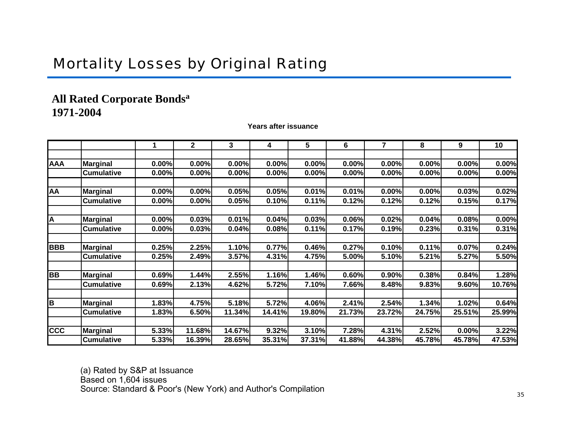### Mortality Losses by Original Rating

#### **All Rated Corporate Bondsa 1971-2004**

**Years after issuance**

|            |                   |       | 2      | 3      | 4      | 5      | 6      |        | 8      | 9      | 10     |
|------------|-------------------|-------|--------|--------|--------|--------|--------|--------|--------|--------|--------|
|            |                   |       |        |        |        |        |        |        |        |        |        |
| <b>AAA</b> | <b>Marginal</b>   | 0.00% | 0.00%  | 0.00%  | 0.00%  | 0.00%  | 0.00%  | 0.00%  | 0.00%  | 0.00%  | 0.00%  |
|            | <b>Cumulative</b> | 0.00% | 0.00%  | 0.00%  | 0.00%  | 0.00%  | 0.00%  | 0.00%  | 0.00%  | 0.00%  | 0.00%  |
|            |                   |       |        |        |        |        |        |        |        |        |        |
| AA         | <b>Marginal</b>   | 0.00% | 0.00%  | 0.05%  | 0.05%  | 0.01%  | 0.01%  | 0.00%  | 0.00%  | 0.03%  | 0.02%  |
|            | <b>Cumulative</b> | 0.00% | 0.00%  | 0.05%  | 0.10%  | 0.11%  | 0.12%  | 0.12%  | 0.12%  | 0.15%  | 0.17%  |
| Α          | <b>Marginal</b>   | 0.00% | 0.03%  | 0.01%  | 0.04%  | 0.03%  | 0.06%  | 0.02%  | 0.04%  | 0.08%  | 0.00%  |
|            | <b>Cumulative</b> | 0.00% | 0.03%  | 0.04%  | 0.08%  | 0.11%  | 0.17%  | 0.19%  | 0.23%  | 0.31%  | 0.31%  |
|            |                   |       |        |        |        |        |        |        |        |        |        |
| <b>BBB</b> | <b>Marginal</b>   | 0.25% | 2.25%  | 1.10%  | 0.77%  | 0.46%  | 0.27%  | 0.10%  | 0.11%  | 0.07%  | 0.24%  |
|            | <b>Cumulative</b> | 0.25% | 2.49%  | 3.57%  | 4.31%  | 4.75%  | 5.00%  | 5.10%  | 5.21%  | 5.27%  | 5.50%  |
|            |                   |       |        |        |        |        |        |        |        |        |        |
| <b>BB</b>  | <b>Marginal</b>   | 0.69% | 1.44%  | 2.55%  | 1.16%  | 1.46%  | 0.60%  | 0.90%  | 0.38%  | 0.84%  | 1.28%  |
|            | <b>Cumulative</b> | 0.69% | 2.13%  | 4.62%  | 5.72%  | 7.10%  | 7.66%  | 8.48%  | 9.83%  | 9.60%  | 10.76% |
|            |                   |       |        |        |        |        |        |        |        |        |        |
| B          | <b>Marginal</b>   | 1.83% | 4.75%  | 5.18%  | 5.72%  | 4.06%  | 2.41%  | 2.54%  | 1.34%  | 1.02%  | 0.64%  |
|            | <b>Cumulative</b> | 1.83% | 6.50%  | 11.34% | 14.41% | 19.80% | 21.73% | 23.72% | 24.75% | 25.51% | 25.99% |
|            |                   |       |        |        |        |        |        |        |        |        |        |
| <b>CCC</b> | <b>Marginal</b>   | 5.33% | 11.68% | 14.67% | 9.32%  | 3.10%  | 7.28%  | 4.31%  | 2.52%  | 0.00%  | 3.22%  |
|            | <b>Cumulative</b> | 5.33% | 16.39% | 28.65% | 35.31% | 37.31% | 41.88% | 44.38% | 45.78% | 45.78% | 47.53% |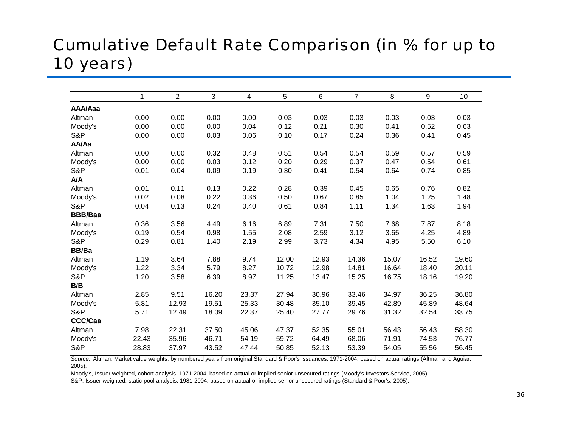# Cumulative Default Rate Comparison (in % for up to 10 years)

|                | 1     | $\overline{2}$ | 3     | 4     | 5     | 6     | $\overline{7}$ | 8     | 9     | 10 <sup>°</sup> |
|----------------|-------|----------------|-------|-------|-------|-------|----------------|-------|-------|-----------------|
| AAA/Aaa        |       |                |       |       |       |       |                |       |       |                 |
| Altman         | 0.00  | 0.00           | 0.00  | 0.00  | 0.03  | 0.03  | 0.03           | 0.03  | 0.03  | 0.03            |
| Moody's        | 0.00  | 0.00           | 0.00  | 0.04  | 0.12  | 0.21  | 0.30           | 0.41  | 0.52  | 0.63            |
| S&P            | 0.00  | 0.00           | 0.03  | 0.06  | 0.10  | 0.17  | 0.24           | 0.36  | 0.41  | 0.45            |
| AA/Aa          |       |                |       |       |       |       |                |       |       |                 |
| Altman         | 0.00  | 0.00           | 0.32  | 0.48  | 0.51  | 0.54  | 0.54           | 0.59  | 0.57  | 0.59            |
| Moody's        | 0.00  | 0.00           | 0.03  | 0.12  | 0.20  | 0.29  | 0.37           | 0.47  | 0.54  | 0.61            |
| S&P            | 0.01  | 0.04           | 0.09  | 0.19  | 0.30  | 0.41  | 0.54           | 0.64  | 0.74  | 0.85            |
| <b>A/A</b>     |       |                |       |       |       |       |                |       |       |                 |
| Altman         | 0.01  | 0.11           | 0.13  | 0.22  | 0.28  | 0.39  | 0.45           | 0.65  | 0.76  | 0.82            |
| Moody's        | 0.02  | 0.08           | 0.22  | 0.36  | 0.50  | 0.67  | 0.85           | 1.04  | 1.25  | 1.48            |
| S&P            | 0.04  | 0.13           | 0.24  | 0.40  | 0.61  | 0.84  | 1.11           | 1.34  | 1.63  | 1.94            |
| <b>BBB/Baa</b> |       |                |       |       |       |       |                |       |       |                 |
| Altman         | 0.36  | 3.56           | 4.49  | 6.16  | 6.89  | 7.31  | 7.50           | 7.68  | 7.87  | 8.18            |
| Moody's        | 0.19  | 0.54           | 0.98  | 1.55  | 2.08  | 2.59  | 3.12           | 3.65  | 4.25  | 4.89            |
| S&P            | 0.29  | 0.81           | 1.40  | 2.19  | 2.99  | 3.73  | 4.34           | 4.95  | 5.50  | 6.10            |
| BB/Ba          |       |                |       |       |       |       |                |       |       |                 |
| Altman         | 1.19  | 3.64           | 7.88  | 9.74  | 12.00 | 12.93 | 14.36          | 15.07 | 16.52 | 19.60           |
| Moody's        | 1.22  | 3.34           | 5.79  | 8.27  | 10.72 | 12.98 | 14.81          | 16.64 | 18.40 | 20.11           |
| S&P            | 1.20  | 3.58           | 6.39  | 8.97  | 11.25 | 13.47 | 15.25          | 16.75 | 18.16 | 19.20           |
| B/B            |       |                |       |       |       |       |                |       |       |                 |
| Altman         | 2.85  | 9.51           | 16.20 | 23.37 | 27.94 | 30.96 | 33.46          | 34.97 | 36.25 | 36.80           |
| Moody's        | 5.81  | 12.93          | 19.51 | 25.33 | 30.48 | 35.10 | 39.45          | 42.89 | 45.89 | 48.64           |
| S&P            | 5.71  | 12.49          | 18.09 | 22.37 | 25.40 | 27.77 | 29.76          | 31.32 | 32.54 | 33.75           |
| <b>CCC/Caa</b> |       |                |       |       |       |       |                |       |       |                 |
| Altman         | 7.98  | 22.31          | 37.50 | 45.06 | 47.37 | 52.35 | 55.01          | 56.43 | 56.43 | 58.30           |
| Moody's        | 22.43 | 35.96          | 46.71 | 54.19 | 59.72 | 64.49 | 68.06          | 71.91 | 74.53 | 76.77           |
| S&P            | 28.83 | 37.97          | 43.52 | 47.44 | 50.85 | 52.13 | 53.39          | 54.05 | 55.56 | 56.45           |

*Source:* Altman, Market value weights, by numbered years from original Standard & Poor's issuances, 1971-2004, based on actual ratings (Altman and Aguiar, 2005).

Moody's, Issuer weighted, cohort analysis, 1971-2004, based on actual or implied senior unsecured ratings (Moody's Investors Service, 2005).

S&P, Issuer weighted, static-pool analysis, 1981-2004, based on actual or implied senior unsecured ratings (Standard & Poor's, 2005).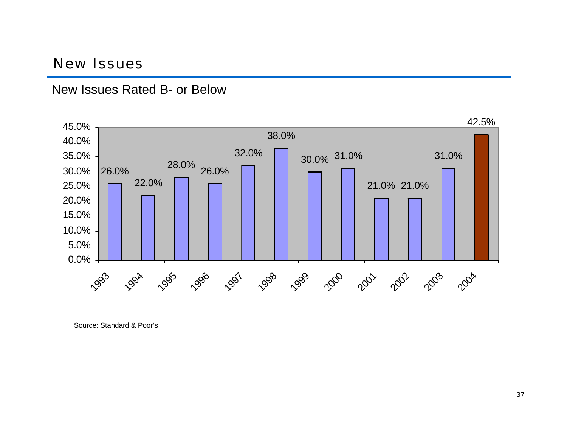#### New Issues





Source: Standard & Poor's